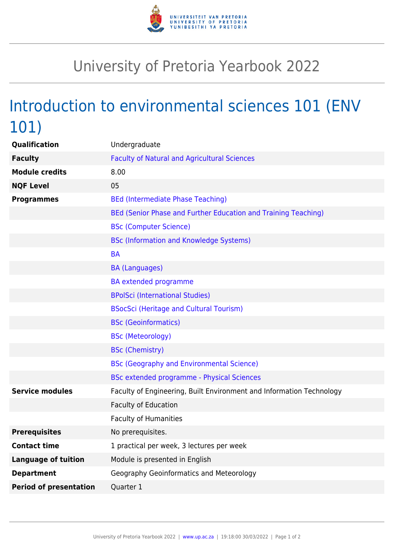

## University of Pretoria Yearbook 2022

## Introduction to environmental sciences 101 (ENV 101)

| Undergraduate                                                        |
|----------------------------------------------------------------------|
| <b>Faculty of Natural and Agricultural Sciences</b>                  |
| 8.00                                                                 |
| 05                                                                   |
| <b>BEd (Intermediate Phase Teaching)</b>                             |
| BEd (Senior Phase and Further Education and Training Teaching)       |
| <b>BSc (Computer Science)</b>                                        |
| <b>BSc (Information and Knowledge Systems)</b>                       |
| <b>BA</b>                                                            |
| <b>BA (Languages)</b>                                                |
| <b>BA</b> extended programme                                         |
| <b>BPolSci (International Studies)</b>                               |
| <b>BSocSci (Heritage and Cultural Tourism)</b>                       |
| <b>BSc (Geoinformatics)</b>                                          |
| <b>BSc (Meteorology)</b>                                             |
| <b>BSc (Chemistry)</b>                                               |
| <b>BSc (Geography and Environmental Science)</b>                     |
| BSc extended programme - Physical Sciences                           |
| Faculty of Engineering, Built Environment and Information Technology |
| Faculty of Education                                                 |
| <b>Faculty of Humanities</b>                                         |
| No prerequisites.                                                    |
| 1 practical per week, 3 lectures per week                            |
| Module is presented in English                                       |
| Geography Geoinformatics and Meteorology                             |
| Quarter 1                                                            |
|                                                                      |